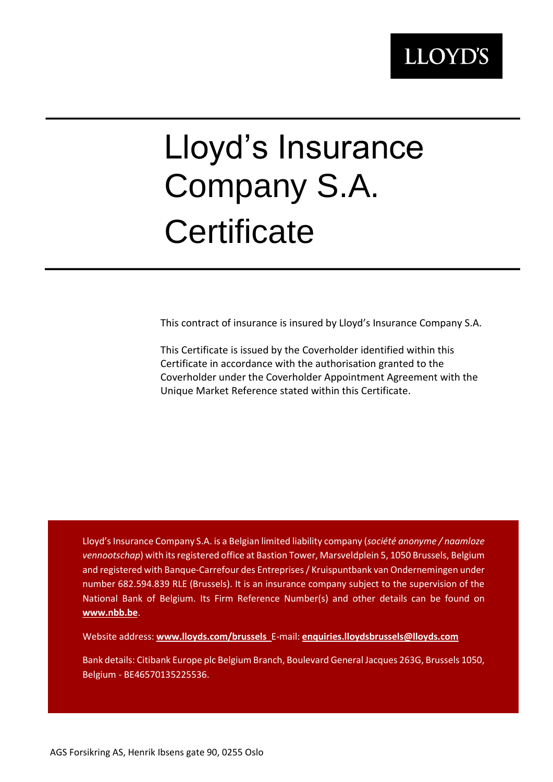# Lloyd's Insurance Company S.A. **Certificate**

This contract of insurance is insured by Lloyd's Insurance Company S.A.

This Certificate is issued by the Coverholder identified within this Certificate in accordance with the authorisation granted to the Coverholder under the Coverholder Appointment Agreement with the Unique Market Reference stated within this Certificate.

Lloyd's Insurance Company S.A. is a Belgian limited liability company (*société anonyme / naamloze vennootschap*) with its registered office at Bastion Tower, Marsveldplein 5, 1050 Brussels, Belgium and registered with Banque-Carrefour des Entreprises / Kruispuntbank van Ondernemingen under number 682.594.839 RLE (Brussels). It is an insurance company subject to the supervision of the National Bank of Belgium. Its Firm Reference Number(s) and other details can be found on **[www.nbb.be](http://www.nbb.be/)**.

Website address: **[www.lloyds.com/brussels](http://www.lloyds.com/brussels)** E-mail: **[enquiries.lloydsbrussels@lloyds.com](mailto:enquiries.lloydsbrussels@lloyds.com)**

Bank details: Citibank Europe plc Belgium Branch, Boulevard General Jacques 263G, Brussels 1050, Belgium - BE46570135225536.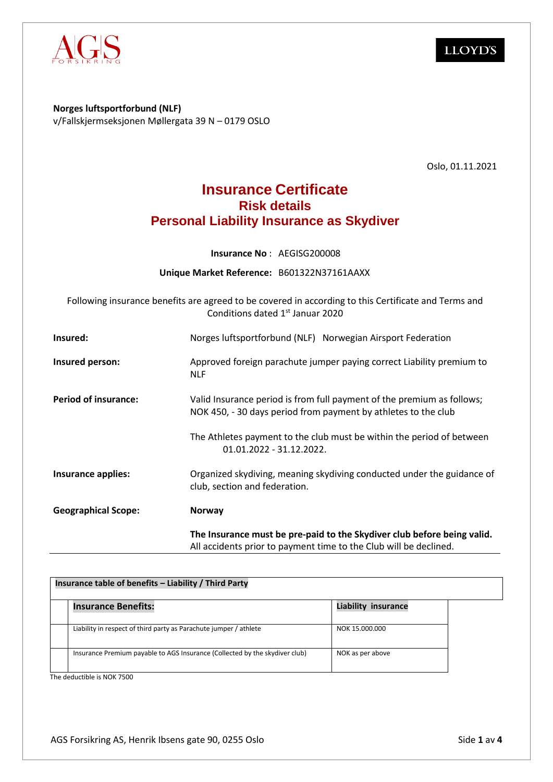

**Norges luftsportforbund (NLF)** v/Fallskjermseksjonen Møllergata 39 N – 0179 OSLO

Oslo, 01.11.2021

### **Insurance Certificate Risk details Personal Liability Insurance as Skydiver**

**Insurance No** : AEGISG200008

**Unique Market Reference:** B601322N37161AAXX

Following insurance benefits are agreed to be covered in according to this Certificate and Terms and Conditions dated 1<sup>st</sup> Januar 2020

| Insured:                    | Norges luftsportforbund (NLF) Norwegian Airsport Federation                                                                                  |  |
|-----------------------------|----------------------------------------------------------------------------------------------------------------------------------------------|--|
| Insured person:             | Approved foreign parachute jumper paying correct Liability premium to<br><b>NLF</b>                                                          |  |
| <b>Period of insurance:</b> | Valid Insurance period is from full payment of the premium as follows;<br>NOK 450, - 30 days period from payment by athletes to the club     |  |
|                             | The Athletes payment to the club must be within the period of between<br>01.01.2022 - 31.12.2022.                                            |  |
| Insurance applies:          | Organized skydiving, meaning skydiving conducted under the guidance of<br>club, section and federation.                                      |  |
| <b>Geographical Scope:</b>  | <b>Norway</b>                                                                                                                                |  |
|                             | The Insurance must be pre-paid to the Skydiver club before being valid.<br>All accidents prior to payment time to the Club will be declined. |  |

| Insurance table of benefits - Liability / Third Party |                                                                             |                            |  |  |
|-------------------------------------------------------|-----------------------------------------------------------------------------|----------------------------|--|--|
|                                                       | <b>Insurance Benefits:</b>                                                  | <b>Liability insurance</b> |  |  |
|                                                       | Liability in respect of third party as Parachute jumper / athlete           | NOK 15,000,000             |  |  |
|                                                       | Insurance Premium payable to AGS Insurance (Collected by the skydiver club) | NOK as per above           |  |  |

The deductible is NOK 7500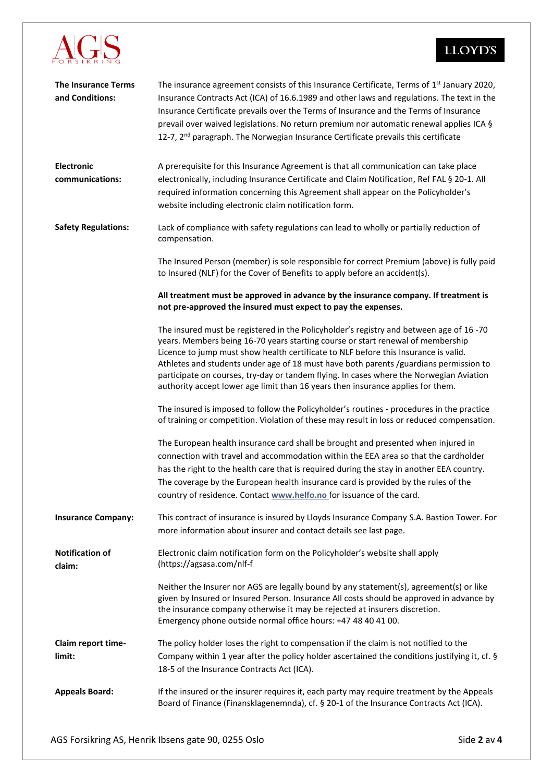

| <b>The Insurance Terms</b><br>and Conditions: | The insurance agreement consists of this Insurance Certificate, Terms of 1 <sup>st</sup> January 2020,<br>Insurance Contracts Act (ICA) of 16.6.1989 and other laws and regulations. The text in the<br>Insurance Certificate prevails over the Terms of Insurance and the Terms of Insurance<br>prevail over waived legislations. No return premium nor automatic renewal applies ICA §<br>12-7, 2 <sup>nd</sup> paragraph. The Norwegian Insurance Certificate prevails this certificate                                               |
|-----------------------------------------------|------------------------------------------------------------------------------------------------------------------------------------------------------------------------------------------------------------------------------------------------------------------------------------------------------------------------------------------------------------------------------------------------------------------------------------------------------------------------------------------------------------------------------------------|
| Electronic<br>communications:                 | A prerequisite for this Insurance Agreement is that all communication can take place<br>electronically, including Insurance Certificate and Claim Notification, Ref FAL § 20-1. All<br>required information concerning this Agreement shall appear on the Policyholder's<br>website including electronic claim notification form.                                                                                                                                                                                                        |
| <b>Safety Regulations:</b>                    | Lack of compliance with safety regulations can lead to wholly or partially reduction of<br>compensation.                                                                                                                                                                                                                                                                                                                                                                                                                                 |
|                                               | The Insured Person (member) is sole responsible for correct Premium (above) is fully paid<br>to Insured (NLF) for the Cover of Benefits to apply before an accident(s).                                                                                                                                                                                                                                                                                                                                                                  |
|                                               | All treatment must be approved in advance by the insurance company. If treatment is<br>not pre-approved the insured must expect to pay the expenses.                                                                                                                                                                                                                                                                                                                                                                                     |
|                                               | The insured must be registered in the Policyholder's registry and between age of 16 -70<br>years. Members being 16-70 years starting course or start renewal of membership<br>Licence to jump must show health certificate to NLF before this Insurance is valid.<br>Athletes and students under age of 18 must have both parents /guardians permission to<br>participate on courses, try-day or tandem flying. In cases where the Norwegian Aviation<br>authority accept lower age limit than 16 years then insurance applies for them. |
|                                               | The insured is imposed to follow the Policyholder's routines - procedures in the practice<br>of training or competition. Violation of these may result in loss or reduced compensation.                                                                                                                                                                                                                                                                                                                                                  |
|                                               | The European health insurance card shall be brought and presented when injured in<br>connection with travel and accommodation within the EEA area so that the cardholder<br>has the right to the health care that is required during the stay in another EEA country.<br>The coverage by the European health insurance card is provided by the rules of the<br>country of residence. Contact www.helfo.no for issuance of the card.                                                                                                      |
| <b>Insurance Company:</b>                     | This contract of insurance is insured by Lloyds Insurance Company S.A. Bastion Tower. For<br>more information about insurer and contact details see last page.                                                                                                                                                                                                                                                                                                                                                                           |
| <b>Notification of</b><br>claim:              | Electronic claim notification form on the Policyholder's website shall apply<br>(https://agsasa.com/nlf-f                                                                                                                                                                                                                                                                                                                                                                                                                                |
|                                               | Neither the Insurer nor AGS are legally bound by any statement(s), agreement(s) or like<br>given by Insured or Insured Person. Insurance All costs should be approved in advance by<br>the insurance company otherwise it may be rejected at insurers discretion.<br>Emergency phone outside normal office hours: +47 48 40 41 00.                                                                                                                                                                                                       |
| Claim report time-<br>limit:                  | The policy holder loses the right to compensation if the claim is not notified to the<br>Company within 1 year after the policy holder ascertained the conditions justifying it, cf. §<br>18-5 of the Insurance Contracts Act (ICA).                                                                                                                                                                                                                                                                                                     |
| <b>Appeals Board:</b>                         | If the insured or the insurer requires it, each party may require treatment by the Appeals<br>Board of Finance (Finansklagenemnda), cf. § 20-1 of the Insurance Contracts Act (ICA).                                                                                                                                                                                                                                                                                                                                                     |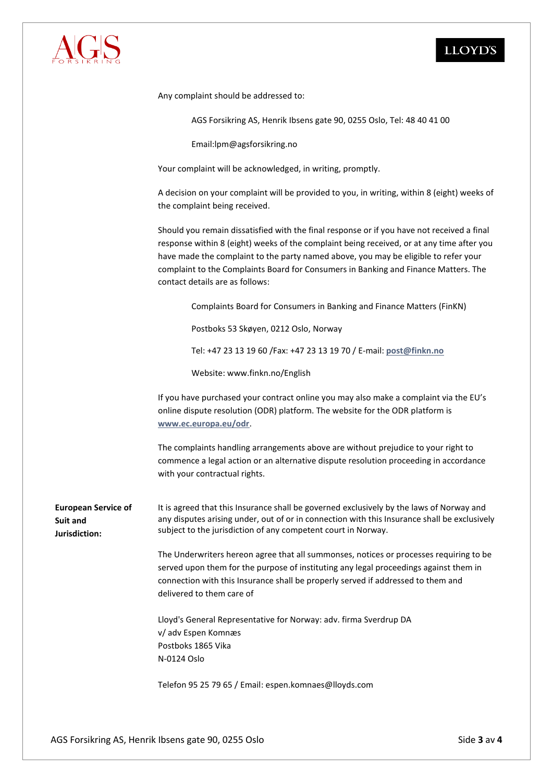

Any complaint should be addressed to:

AGS Forsikring AS, Henrik Ibsens gate 90, 0255 Oslo, Tel: 48 40 41 00

Email:lpm@agsforsikring.no

Your complaint will be acknowledged, in writing, promptly.

A decision on your complaint will be provided to you, in writing, within 8 (eight) weeks of the complaint being received.

Should you remain dissatisfied with the final response or if you have not received a final response within 8 (eight) weeks of the complaint being received, or at any time after you have made the complaint to the party named above, you may be eligible to refer your complaint to the Complaints Board for Consumers in Banking and Finance Matters. The contact details are as follows:

Complaints Board for Consumers in Banking and Finance Matters (FinKN)

Postboks 53 Skøyen, 0212 Oslo, Norway

Tel: +47 23 13 19 60 /Fax: +47 23 13 19 70 / E-mail: **[post@finkn.no](mailto:post@finkn.no)**

Website: www.finkn.no/English

If you have purchased your contract online you may also make a complaint via the EU's online dispute resolution (ODR) platform. The website for the ODR platform is **[www.ec.europa.eu/odr](http://www.ec.europa.eu/odr)**.

The complaints handling arrangements above are without prejudice to your right to commence a legal action or an alternative dispute resolution proceeding in accordance with your contractual rights.

**European Service of Suit and Jurisdiction:** It is agreed that this Insurance shall be governed exclusively by the laws of Norway and any disputes arising under, out of or in connection with this Insurance shall be exclusively subject to the jurisdiction of any competent court in Norway.

> The Underwriters hereon agree that all summonses, notices or processes requiring to be served upon them for the purpose of instituting any legal proceedings against them in connection with this Insurance shall be properly served if addressed to them and delivered to them care of

Lloyd's General Representative for Norway: adv. firma Sverdrup DA v/ adv Espen Komnæs Postboks 1865 Vika N-0124 Oslo

Telefon 95 25 79 65 / Email: [espen.komnaes@lloyds.com](mailto:espen.komnaes@lloyds.com)